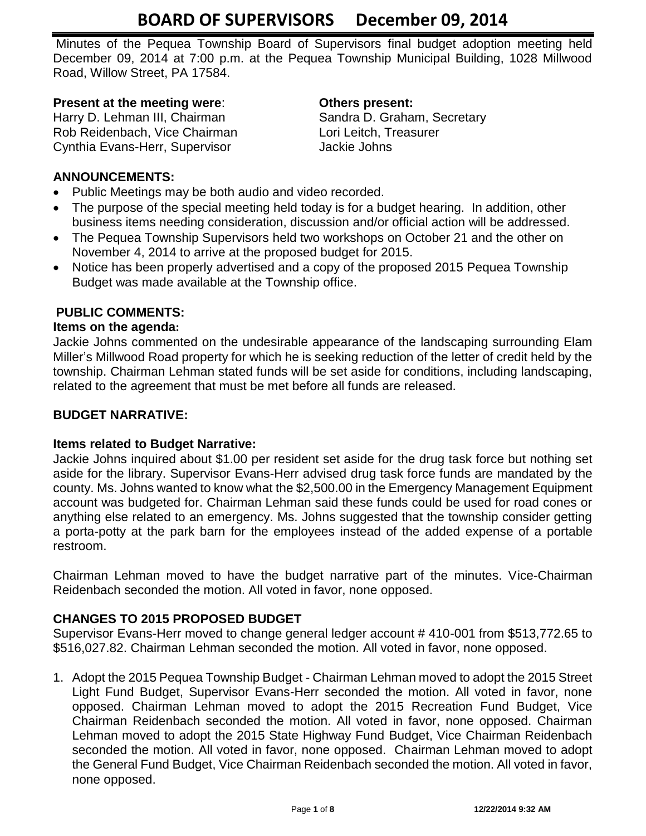Minutes of the Pequea Township Board of Supervisors final budget adoption meeting held December 09, 2014 at 7:00 p.m. at the Pequea Township Municipal Building, 1028 Millwood Road, Willow Street, PA 17584.

# **Present at the meeting were**: **Others present:**

Harry D. Lehman III, Chairman Sandra D. Graham, Secretary Rob Reidenbach, Vice Chairman Lori Leitch, Treasurer Cynthia Evans-Herr, Supervisor **Jackie Johns** 

# **ANNOUNCEMENTS:**

- Public Meetings may be both audio and video recorded.
- The purpose of the special meeting held today is for a budget hearing. In addition, other business items needing consideration, discussion and/or official action will be addressed.
- The Pequea Township Supervisors held two workshops on October 21 and the other on November 4, 2014 to arrive at the proposed budget for 2015.
- Notice has been properly advertised and a copy of the proposed 2015 Pequea Township Budget was made available at the Township office.

# **PUBLIC COMMENTS:**

# **Items on the agenda:**

Jackie Johns commented on the undesirable appearance of the landscaping surrounding Elam Miller's Millwood Road property for which he is seeking reduction of the letter of credit held by the township. Chairman Lehman stated funds will be set aside for conditions, including landscaping, related to the agreement that must be met before all funds are released.

## **BUDGET NARRATIVE:**

## **Items related to Budget Narrative:**

Jackie Johns inquired about \$1.00 per resident set aside for the drug task force but nothing set aside for the library. Supervisor Evans-Herr advised drug task force funds are mandated by the county. Ms. Johns wanted to know what the \$2,500.00 in the Emergency Management Equipment account was budgeted for. Chairman Lehman said these funds could be used for road cones or anything else related to an emergency. Ms. Johns suggested that the township consider getting a porta-potty at the park barn for the employees instead of the added expense of a portable restroom.

Chairman Lehman moved to have the budget narrative part of the minutes. Vice-Chairman Reidenbach seconded the motion. All voted in favor, none opposed.

## **CHANGES TO 2015 PROPOSED BUDGET**

Supervisor Evans-Herr moved to change general ledger account # 410-001 from \$513,772.65 to \$516,027.82. Chairman Lehman seconded the motion. All voted in favor, none opposed.

1. Adopt the 2015 Pequea Township Budget - Chairman Lehman moved to adopt the 2015 Street Light Fund Budget, Supervisor Evans-Herr seconded the motion. All voted in favor, none opposed. Chairman Lehman moved to adopt the 2015 Recreation Fund Budget, Vice Chairman Reidenbach seconded the motion. All voted in favor, none opposed. Chairman Lehman moved to adopt the 2015 State Highway Fund Budget, Vice Chairman Reidenbach seconded the motion. All voted in favor, none opposed. Chairman Lehman moved to adopt the General Fund Budget, Vice Chairman Reidenbach seconded the motion. All voted in favor, none opposed.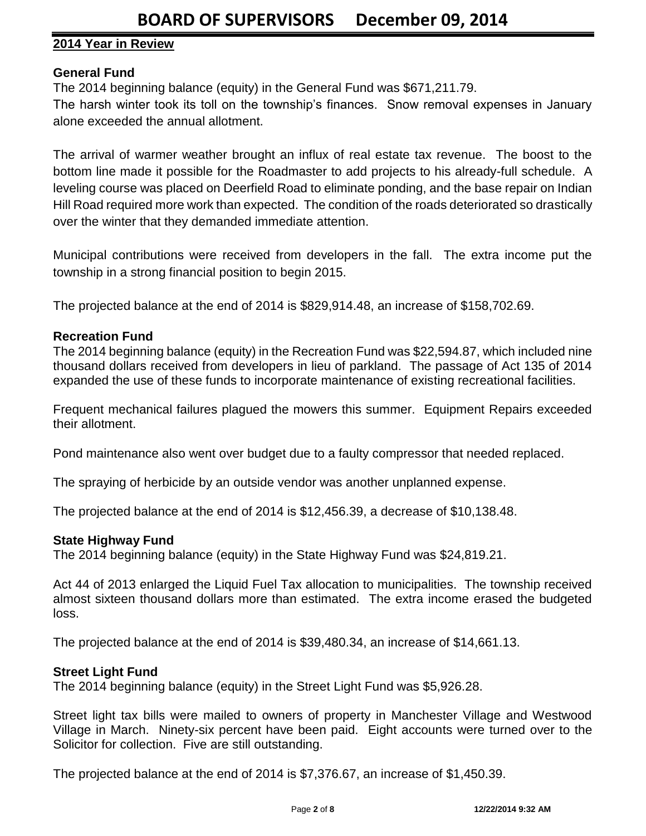# **2014 Year in Review**

## **General Fund**

The 2014 beginning balance (equity) in the General Fund was \$671,211.79.

The harsh winter took its toll on the township's finances. Snow removal expenses in January alone exceeded the annual allotment.

The arrival of warmer weather brought an influx of real estate tax revenue. The boost to the bottom line made it possible for the Roadmaster to add projects to his already-full schedule. A leveling course was placed on Deerfield Road to eliminate ponding, and the base repair on Indian Hill Road required more work than expected. The condition of the roads deteriorated so drastically over the winter that they demanded immediate attention.

Municipal contributions were received from developers in the fall. The extra income put the township in a strong financial position to begin 2015.

The projected balance at the end of 2014 is \$829,914.48, an increase of \$158,702.69.

## **Recreation Fund**

The 2014 beginning balance (equity) in the Recreation Fund was \$22,594.87, which included nine thousand dollars received from developers in lieu of parkland. The passage of Act 135 of 2014 expanded the use of these funds to incorporate maintenance of existing recreational facilities.

Frequent mechanical failures plagued the mowers this summer. Equipment Repairs exceeded their allotment.

Pond maintenance also went over budget due to a faulty compressor that needed replaced.

The spraying of herbicide by an outside vendor was another unplanned expense.

The projected balance at the end of 2014 is \$12,456.39, a decrease of \$10,138.48.

#### **State Highway Fund**

The 2014 beginning balance (equity) in the State Highway Fund was \$24,819.21.

Act 44 of 2013 enlarged the Liquid Fuel Tax allocation to municipalities. The township received almost sixteen thousand dollars more than estimated. The extra income erased the budgeted loss.

The projected balance at the end of 2014 is \$39,480.34, an increase of \$14,661.13.

#### **Street Light Fund**

The 2014 beginning balance (equity) in the Street Light Fund was \$5,926.28.

Street light tax bills were mailed to owners of property in Manchester Village and Westwood Village in March. Ninety-six percent have been paid. Eight accounts were turned over to the Solicitor for collection. Five are still outstanding.

The projected balance at the end of 2014 is \$7,376.67, an increase of \$1,450.39.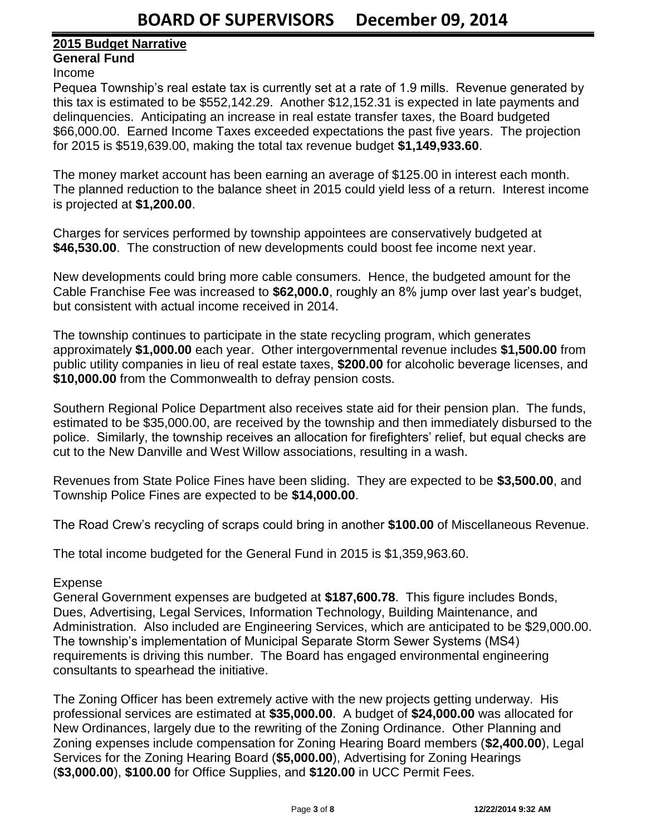# **2015 Budget Narrative**

# **General Fund**

#### Income

Pequea Township's real estate tax is currently set at a rate of 1.9 mills. Revenue generated by this tax is estimated to be \$552,142.29. Another \$12,152.31 is expected in late payments and delinquencies. Anticipating an increase in real estate transfer taxes, the Board budgeted \$66,000.00. Earned Income Taxes exceeded expectations the past five years. The projection for 2015 is \$519,639.00, making the total tax revenue budget **\$1,149,933.60**.

The money market account has been earning an average of \$125.00 in interest each month. The planned reduction to the balance sheet in 2015 could yield less of a return. Interest income is projected at **\$1,200.00**.

Charges for services performed by township appointees are conservatively budgeted at **\$46,530.00**. The construction of new developments could boost fee income next year.

New developments could bring more cable consumers. Hence, the budgeted amount for the Cable Franchise Fee was increased to **\$62,000.0**, roughly an 8% jump over last year's budget, but consistent with actual income received in 2014.

The township continues to participate in the state recycling program, which generates approximately **\$1,000.00** each year. Other intergovernmental revenue includes **\$1,500.00** from public utility companies in lieu of real estate taxes, **\$200.00** for alcoholic beverage licenses, and **\$10,000.00** from the Commonwealth to defray pension costs.

Southern Regional Police Department also receives state aid for their pension plan. The funds, estimated to be \$35,000.00, are received by the township and then immediately disbursed to the police. Similarly, the township receives an allocation for firefighters' relief, but equal checks are cut to the New Danville and West Willow associations, resulting in a wash.

Revenues from State Police Fines have been sliding. They are expected to be **\$3,500.00**, and Township Police Fines are expected to be **\$14,000.00**.

The Road Crew's recycling of scraps could bring in another **\$100.00** of Miscellaneous Revenue.

The total income budgeted for the General Fund in 2015 is \$1,359,963.60.

## Expense

General Government expenses are budgeted at **\$187,600.78**. This figure includes Bonds, Dues, Advertising, Legal Services, Information Technology, Building Maintenance, and Administration. Also included are Engineering Services, which are anticipated to be \$29,000.00. The township's implementation of Municipal Separate Storm Sewer Systems (MS4) requirements is driving this number. The Board has engaged environmental engineering consultants to spearhead the initiative.

The Zoning Officer has been extremely active with the new projects getting underway. His professional services are estimated at **\$35,000.00**. A budget of **\$24,000.00** was allocated for New Ordinances, largely due to the rewriting of the Zoning Ordinance. Other Planning and Zoning expenses include compensation for Zoning Hearing Board members (**\$2,400.00**), Legal Services for the Zoning Hearing Board (**\$5,000.00**), Advertising for Zoning Hearings (**\$3,000.00**), **\$100.00** for Office Supplies, and **\$120.00** in UCC Permit Fees.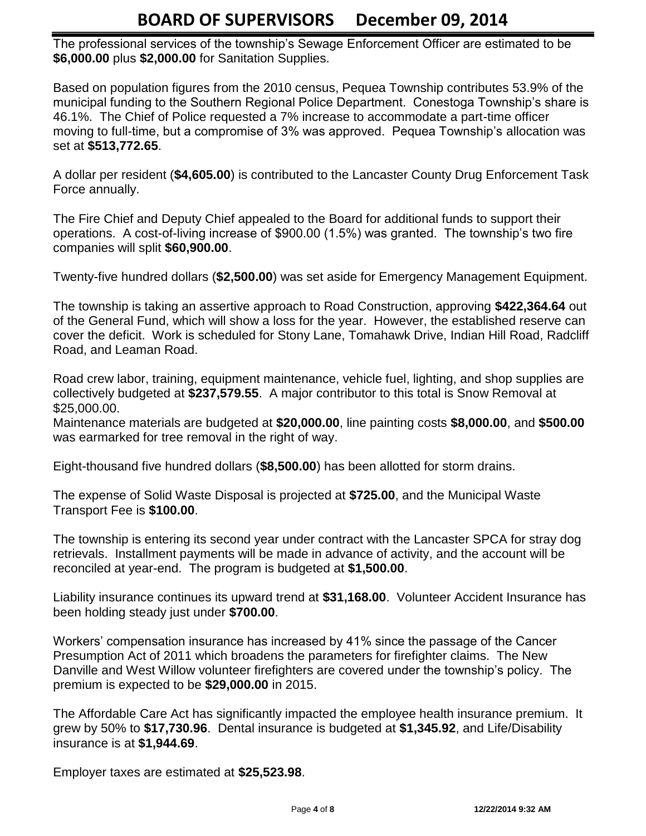The professional services of the township's Sewage Enforcement Officer are estimated to be **\$6,000.00** plus **\$2,000.00** for Sanitation Supplies.

Based on population figures from the 2010 census, Pequea Township contributes 53.9% of the municipal funding to the Southern Regional Police Department. Conestoga Township's share is 46.1%. The Chief of Police requested a 7% increase to accommodate a part-time officer moving to full-time, but a compromise of 3% was approved. Pequea Township's allocation was set at **\$513,772.65**.

A dollar per resident (**\$4,605.00**) is contributed to the Lancaster County Drug Enforcement Task Force annually.

The Fire Chief and Deputy Chief appealed to the Board for additional funds to support their operations. A cost-of-living increase of \$900.00 (1.5%) was granted. The township's two fire companies will split **\$60,900.00**.

Twenty-five hundred dollars (**\$2,500.00**) was set aside for Emergency Management Equipment.

The township is taking an assertive approach to Road Construction, approving **\$422,364.64** out of the General Fund, which will show a loss for the year. However, the established reserve can cover the deficit. Work is scheduled for Stony Lane, Tomahawk Drive, Indian Hill Road, Radcliff Road, and Leaman Road.

Road crew labor, training, equipment maintenance, vehicle fuel, lighting, and shop supplies are collectively budgeted at **\$237,579.55**. A major contributor to this total is Snow Removal at \$25,000.00.

Maintenance materials are budgeted at **\$20,000.00**, line painting costs **\$8,000.00**, and **\$500.00** was earmarked for tree removal in the right of way.

Eight-thousand five hundred dollars (**\$8,500.00**) has been allotted for storm drains.

The expense of Solid Waste Disposal is projected at **\$725.00**, and the Municipal Waste Transport Fee is **\$100.00**.

The township is entering its second year under contract with the Lancaster SPCA for stray dog retrievals. Installment payments will be made in advance of activity, and the account will be reconciled at year-end. The program is budgeted at **\$1,500.00**.

Liability insurance continues its upward trend at **\$31,168.00**. Volunteer Accident Insurance has been holding steady just under **\$700.00**.

Workers' compensation insurance has increased by 41% since the passage of the Cancer Presumption Act of 2011 which broadens the parameters for firefighter claims. The New Danville and West Willow volunteer firefighters are covered under the township's policy. The premium is expected to be **\$29,000.00** in 2015.

The Affordable Care Act has significantly impacted the employee health insurance premium. It grew by 50% to **\$17,730.96**. Dental insurance is budgeted at **\$1,345.92**, and Life/Disability insurance is at **\$1,944.69**.

Employer taxes are estimated at **\$25,523.98**.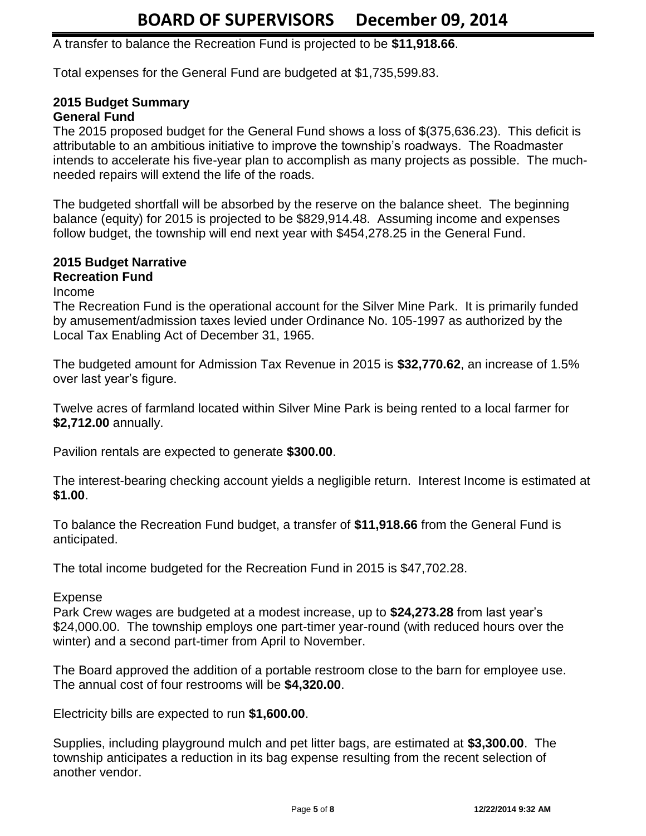A transfer to balance the Recreation Fund is projected to be **\$11,918.66**.

Total expenses for the General Fund are budgeted at \$1,735,599.83.

# **2015 Budget Summary General Fund**

The 2015 proposed budget for the General Fund shows a loss of \$(375,636.23). This deficit is attributable to an ambitious initiative to improve the township's roadways. The Roadmaster intends to accelerate his five-year plan to accomplish as many projects as possible. The muchneeded repairs will extend the life of the roads.

The budgeted shortfall will be absorbed by the reserve on the balance sheet. The beginning balance (equity) for 2015 is projected to be \$829,914.48. Assuming income and expenses follow budget, the township will end next year with \$454,278.25 in the General Fund.

#### **2015 Budget Narrative Recreation Fund**

Income

The Recreation Fund is the operational account for the Silver Mine Park. It is primarily funded by amusement/admission taxes levied under Ordinance No. 105-1997 as authorized by the Local Tax Enabling Act of December 31, 1965.

The budgeted amount for Admission Tax Revenue in 2015 is **\$32,770.62**, an increase of 1.5% over last year's figure.

Twelve acres of farmland located within Silver Mine Park is being rented to a local farmer for **\$2,712.00** annually.

Pavilion rentals are expected to generate **\$300.00**.

The interest-bearing checking account yields a negligible return. Interest Income is estimated at **\$1.00**.

To balance the Recreation Fund budget, a transfer of **\$11,918.66** from the General Fund is anticipated.

The total income budgeted for the Recreation Fund in 2015 is \$47,702.28.

## Expense

Park Crew wages are budgeted at a modest increase, up to **\$24,273.28** from last year's \$24,000.00. The township employs one part-timer year-round (with reduced hours over the winter) and a second part-timer from April to November.

The Board approved the addition of a portable restroom close to the barn for employee use. The annual cost of four restrooms will be **\$4,320.00**.

Electricity bills are expected to run **\$1,600.00**.

Supplies, including playground mulch and pet litter bags, are estimated at **\$3,300.00**. The township anticipates a reduction in its bag expense resulting from the recent selection of another vendor.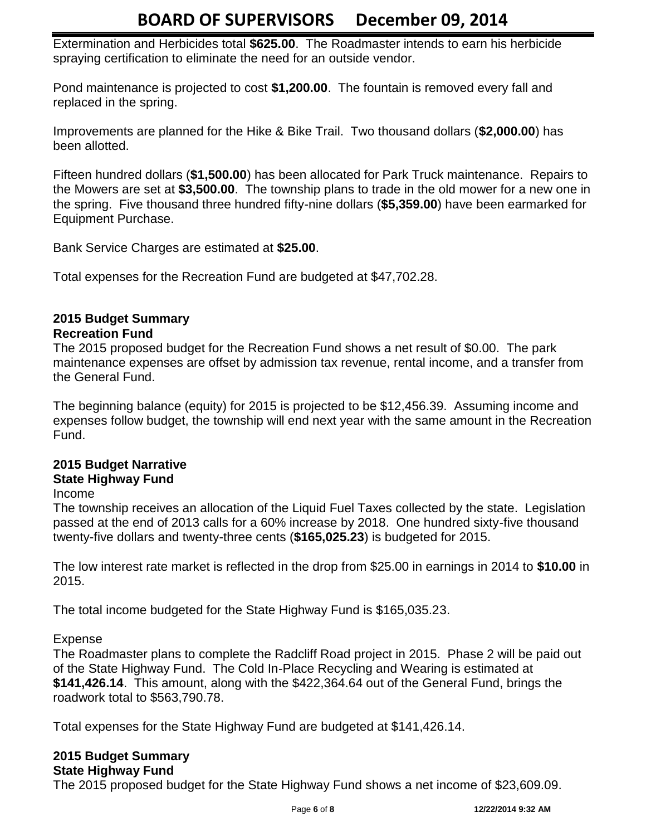Extermination and Herbicides total **\$625.00**. The Roadmaster intends to earn his herbicide spraying certification to eliminate the need for an outside vendor.

Pond maintenance is projected to cost **\$1,200.00**. The fountain is removed every fall and replaced in the spring.

Improvements are planned for the Hike & Bike Trail. Two thousand dollars (**\$2,000.00**) has been allotted.

Fifteen hundred dollars (**\$1,500.00**) has been allocated for Park Truck maintenance. Repairs to the Mowers are set at **\$3,500.00**. The township plans to trade in the old mower for a new one in the spring. Five thousand three hundred fifty-nine dollars (**\$5,359.00**) have been earmarked for Equipment Purchase.

Bank Service Charges are estimated at **\$25.00**.

Total expenses for the Recreation Fund are budgeted at \$47,702.28.

# **2015 Budget Summary**

# **Recreation Fund**

The 2015 proposed budget for the Recreation Fund shows a net result of \$0.00. The park maintenance expenses are offset by admission tax revenue, rental income, and a transfer from the General Fund.

The beginning balance (equity) for 2015 is projected to be \$12,456.39. Assuming income and expenses follow budget, the township will end next year with the same amount in the Recreation Fund.

#### **2015 Budget Narrative State Highway Fund**

## Income

The township receives an allocation of the Liquid Fuel Taxes collected by the state. Legislation passed at the end of 2013 calls for a 60% increase by 2018. One hundred sixty-five thousand twenty-five dollars and twenty-three cents (**\$165,025.23**) is budgeted for 2015.

The low interest rate market is reflected in the drop from \$25.00 in earnings in 2014 to **\$10.00** in 2015.

The total income budgeted for the State Highway Fund is \$165,035.23.

Expense

The Roadmaster plans to complete the Radcliff Road project in 2015. Phase 2 will be paid out of the State Highway Fund. The Cold In-Place Recycling and Wearing is estimated at **\$141,426.14**. This amount, along with the \$422,364.64 out of the General Fund, brings the roadwork total to \$563,790.78.

Total expenses for the State Highway Fund are budgeted at \$141,426.14.

# **2015 Budget Summary**

# **State Highway Fund**

The 2015 proposed budget for the State Highway Fund shows a net income of \$23,609.09.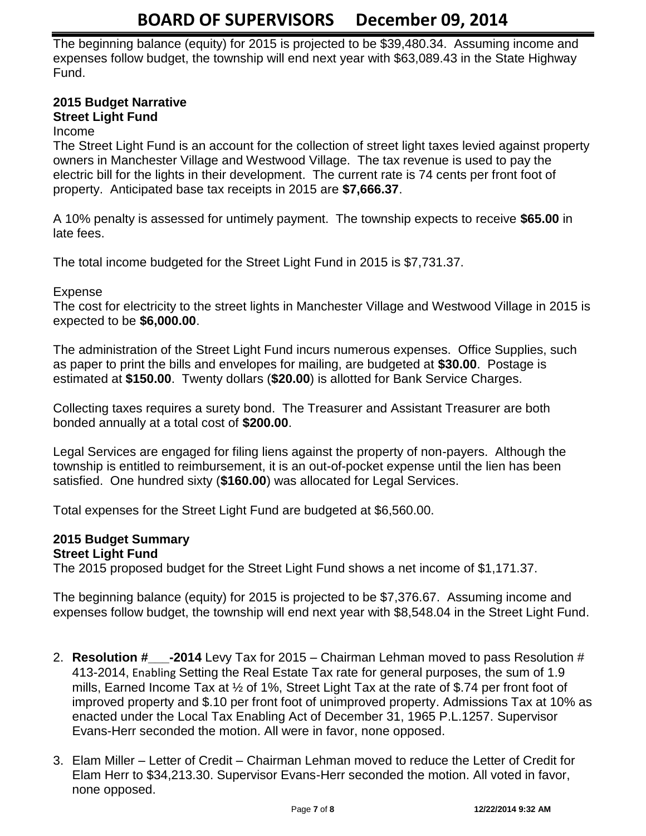The beginning balance (equity) for 2015 is projected to be \$39,480.34. Assuming income and expenses follow budget, the township will end next year with \$63,089.43 in the State Highway Fund.

#### **2015 Budget Narrative Street Light Fund**

# Income

The Street Light Fund is an account for the collection of street light taxes levied against property owners in Manchester Village and Westwood Village. The tax revenue is used to pay the electric bill for the lights in their development. The current rate is 74 cents per front foot of property. Anticipated base tax receipts in 2015 are **\$7,666.37**.

A 10% penalty is assessed for untimely payment. The township expects to receive **\$65.00** in late fees.

The total income budgeted for the Street Light Fund in 2015 is \$7,731.37.

## Expense

The cost for electricity to the street lights in Manchester Village and Westwood Village in 2015 is expected to be **\$6,000.00**.

The administration of the Street Light Fund incurs numerous expenses. Office Supplies, such as paper to print the bills and envelopes for mailing, are budgeted at **\$30.00**. Postage is estimated at **\$150.00**. Twenty dollars (**\$20.00**) is allotted for Bank Service Charges.

Collecting taxes requires a surety bond. The Treasurer and Assistant Treasurer are both bonded annually at a total cost of **\$200.00**.

Legal Services are engaged for filing liens against the property of non-payers. Although the township is entitled to reimbursement, it is an out-of-pocket expense until the lien has been satisfied. One hundred sixty (**\$160.00**) was allocated for Legal Services.

Total expenses for the Street Light Fund are budgeted at \$6,560.00.

# **2015 Budget Summary**

#### **Street Light Fund**

The 2015 proposed budget for the Street Light Fund shows a net income of \$1,171.37.

The beginning balance (equity) for 2015 is projected to be \$7,376.67. Assuming income and expenses follow budget, the township will end next year with \$8,548.04 in the Street Light Fund.

- 2. **Resolution #\_\_\_-2014** Levy Tax for 2015 Chairman Lehman moved to pass Resolution # 413-2014, Enabling Setting the Real Estate Tax rate for general purposes, the sum of 1.9 mills, Earned Income Tax at ½ of 1%, Street Light Tax at the rate of \$.74 per front foot of improved property and \$.10 per front foot of unimproved property. Admissions Tax at 10% as enacted under the Local Tax Enabling Act of December 31, 1965 P.L.1257. Supervisor Evans-Herr seconded the motion. All were in favor, none opposed.
- 3. Elam Miller Letter of Credit Chairman Lehman moved to reduce the Letter of Credit for Elam Herr to \$34,213.30. Supervisor Evans-Herr seconded the motion. All voted in favor, none opposed.